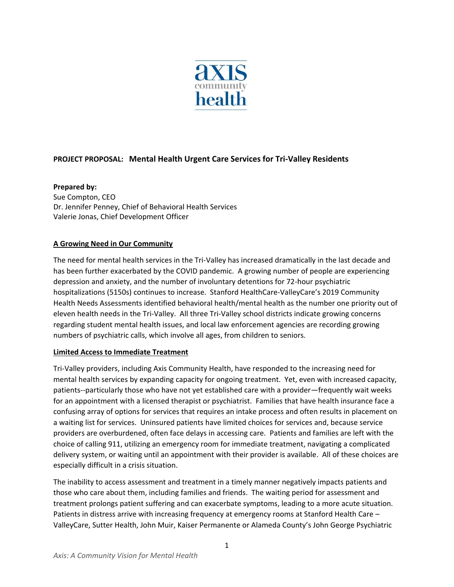

# **PROJECT PROPOSAL: Mental Health Urgent Care Services for Tri-Valley Residents**

#### **Prepared by:**

Sue Compton, CEO Dr. Jennifer Penney, Chief of Behavioral Health Services Valerie Jonas, Chief Development Officer

# **A Growing Need in Our Community**

The need for mental health services in the Tri-Valley has increased dramatically in the last decade and has been further exacerbated by the COVID pandemic. A growing number of people are experiencing depression and anxiety, and the number of involuntary detentions for 72-hour psychiatric hospitalizations (5150s) continues to increase. Stanford HealthCare-ValleyCare's 2019 Community Health Needs Assessments identified behavioral health/mental health as the number one priority out of eleven health needs in the Tri-Valley. All three Tri-Valley school districts indicate growing concerns regarding student mental health issues, and local law enforcement agencies are recording growing numbers of psychiatric calls, which involve all ages, from children to seniors.

#### **Limited Access to Immediate Treatment**

Tri-Valley providers, including Axis Community Health, have responded to the increasing need for mental health services by expanding capacity for ongoing treatment. Yet, even with increased capacity, patients--particularly those who have not yet established care with a provider—frequently wait weeks for an appointment with a licensed therapist or psychiatrist. Families that have health insurance face a confusing array of options for services that requires an intake process and often results in placement on a waiting list for services. Uninsured patients have limited choices for services and, because service providers are overburdened, often face delays in accessing care. Patients and families are left with the choice of calling 911, utilizing an emergency room for immediate treatment, navigating a complicated delivery system, or waiting until an appointment with their provider is available. All of these choices are especially difficult in a crisis situation.

The inability to access assessment and treatment in a timely manner negatively impacts patients and those who care about them, including families and friends. The waiting period for assessment and treatment prolongs patient suffering and can exacerbate symptoms, leading to a more acute situation. Patients in distress arrive with increasing frequency at emergency rooms at Stanford Health Care – ValleyCare, Sutter Health, John Muir, Kaiser Permanente or Alameda County's John George Psychiatric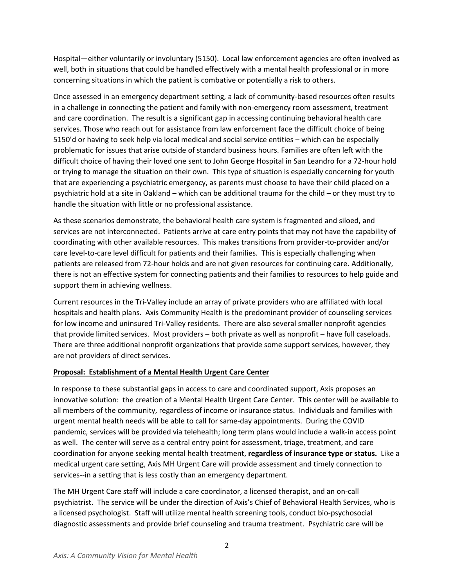Hospital—either voluntarily or involuntary (5150). Local law enforcement agencies are often involved as well, both in situations that could be handled effectively with a mental health professional or in more concerning situations in which the patient is combative or potentially a risk to others.

Once assessed in an emergency department setting, a lack of community-based resources often results in a challenge in connecting the patient and family with non-emergency room assessment, treatment and care coordination. The result is a significant gap in accessing continuing behavioral health care services. Those who reach out for assistance from law enforcement face the difficult choice of being 5150'd or having to seek help via local medical and social service entities – which can be especially problematic for issues that arise outside of standard business hours. Families are often left with the difficult choice of having their loved one sent to John George Hospital in San Leandro for a 72-hour hold or trying to manage the situation on their own. This type of situation is especially concerning for youth that are experiencing a psychiatric emergency, as parents must choose to have their child placed on a psychiatric hold at a site in Oakland – which can be additional trauma for the child – or they must try to handle the situation with little or no professional assistance.

As these scenarios demonstrate, the behavioral health care system is fragmented and siloed, and services are not interconnected. Patients arrive at care entry points that may not have the capability of coordinating with other available resources. This makes transitions from provider-to-provider and/or care level-to-care level difficult for patients and their families. This is especially challenging when patients are released from 72-hour holds and are not given resources for continuing care. Additionally, there is not an effective system for connecting patients and their families to resources to help guide and support them in achieving wellness.

Current resources in the Tri-Valley include an array of private providers who are affiliated with local hospitals and health plans. Axis Community Health is the predominant provider of counseling services for low income and uninsured Tri-Valley residents. There are also several smaller nonprofit agencies that provide limited services. Most providers – both private as well as nonprofit – have full caseloads. There are three additional nonprofit organizations that provide some support services, however, they are not providers of direct services.

#### **Proposal: Establishment of a Mental Health Urgent Care Center**

In response to these substantial gaps in access to care and coordinated support, Axis proposes an innovative solution: the creation of a Mental Health Urgent Care Center. This center will be available to all members of the community, regardless of income or insurance status. Individuals and families with urgent mental health needs will be able to call for same-day appointments. During the COVID pandemic, services will be provided via telehealth; long term plans would include a walk-in access point as well. The center will serve as a central entry point for assessment, triage, treatment, and care coordination for anyone seeking mental health treatment, **regardless of insurance type or status.** Like a medical urgent care setting, Axis MH Urgent Care will provide assessment and timely connection to services--in a setting that is less costly than an emergency department.

The MH Urgent Care staff will include a care coordinator, a licensed therapist, and an on-call psychiatrist. The service will be under the direction of Axis's Chief of Behavioral Health Services, who is a licensed psychologist. Staff will utilize mental health screening tools, conduct bio-psychosocial diagnostic assessments and provide brief counseling and trauma treatment. Psychiatric care will be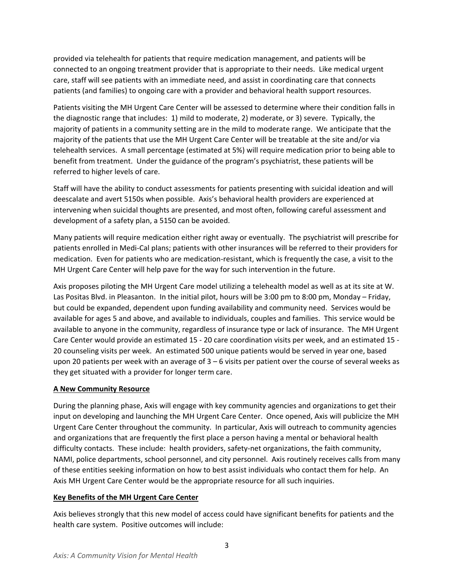provided via telehealth for patients that require medication management, and patients will be connected to an ongoing treatment provider that is appropriate to their needs. Like medical urgent care, staff will see patients with an immediate need, and assist in coordinating care that connects patients (and families) to ongoing care with a provider and behavioral health support resources.

Patients visiting the MH Urgent Care Center will be assessed to determine where their condition falls in the diagnostic range that includes: 1) mild to moderate, 2) moderate, or 3) severe. Typically, the majority of patients in a community setting are in the mild to moderate range. We anticipate that the majority of the patients that use the MH Urgent Care Center will be treatable at the site and/or via telehealth services. A small percentage (estimated at 5%) will require medication prior to being able to benefit from treatment. Under the guidance of the program's psychiatrist, these patients will be referred to higher levels of care.

Staff will have the ability to conduct assessments for patients presenting with suicidal ideation and will deescalate and avert 5150s when possible. Axis's behavioral health providers are experienced at intervening when suicidal thoughts are presented, and most often, following careful assessment and development of a safety plan, a 5150 can be avoided.

Many patients will require medication either right away or eventually. The psychiatrist will prescribe for patients enrolled in Medi-Cal plans; patients with other insurances will be referred to their providers for medication. Even for patients who are medication-resistant, which is frequently the case, a visit to the MH Urgent Care Center will help pave for the way for such intervention in the future.

Axis proposes piloting the MH Urgent Care model utilizing a telehealth model as well as at its site at W. Las Positas Blvd. in Pleasanton. In the initial pilot, hours will be 3:00 pm to 8:00 pm, Monday – Friday, but could be expanded, dependent upon funding availability and community need. Services would be available for ages 5 and above, and available to individuals, couples and families. This service would be available to anyone in the community, regardless of insurance type or lack of insurance. The MH Urgent Care Center would provide an estimated 15 - 20 care coordination visits per week, and an estimated 15 - 20 counseling visits per week. An estimated 500 unique patients would be served in year one, based upon 20 patients per week with an average of 3 – 6 visits per patient over the course of several weeks as they get situated with a provider for longer term care.

# **A New Community Resource**

During the planning phase, Axis will engage with key community agencies and organizations to get their input on developing and launching the MH Urgent Care Center. Once opened, Axis will publicize the MH Urgent Care Center throughout the community. In particular, Axis will outreach to community agencies and organizations that are frequently the first place a person having a mental or behavioral health difficulty contacts. These include: health providers, safety-net organizations, the faith community, NAMI, police departments, school personnel, and city personnel. Axis routinely receives calls from many of these entities seeking information on how to best assist individuals who contact them for help. An Axis MH Urgent Care Center would be the appropriate resource for all such inquiries.

# **Key Benefits of the MH Urgent Care Center**

Axis believes strongly that this new model of access could have significant benefits for patients and the health care system. Positive outcomes will include: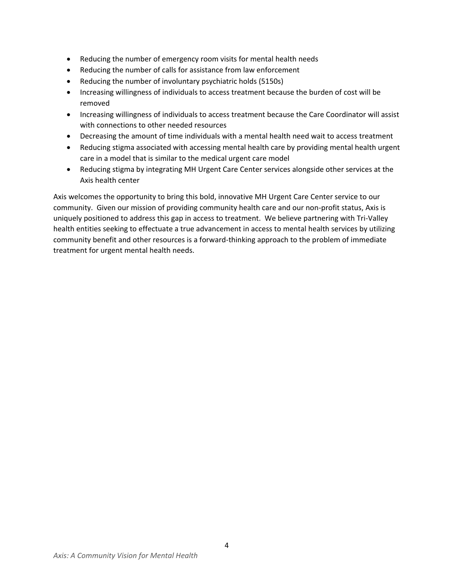- Reducing the number of emergency room visits for mental health needs
- Reducing the number of calls for assistance from law enforcement
- Reducing the number of involuntary psychiatric holds (5150s)
- Increasing willingness of individuals to access treatment because the burden of cost will be removed
- Increasing willingness of individuals to access treatment because the Care Coordinator will assist with connections to other needed resources
- Decreasing the amount of time individuals with a mental health need wait to access treatment
- Reducing stigma associated with accessing mental health care by providing mental health urgent care in a model that is similar to the medical urgent care model
- Reducing stigma by integrating MH Urgent Care Center services alongside other services at the Axis health center

Axis welcomes the opportunity to bring this bold, innovative MH Urgent Care Center service to our community. Given our mission of providing community health care and our non-profit status, Axis is uniquely positioned to address this gap in access to treatment. We believe partnering with Tri-Valley health entities seeking to effectuate a true advancement in access to mental health services by utilizing community benefit and other resources is a forward-thinking approach to the problem of immediate treatment for urgent mental health needs.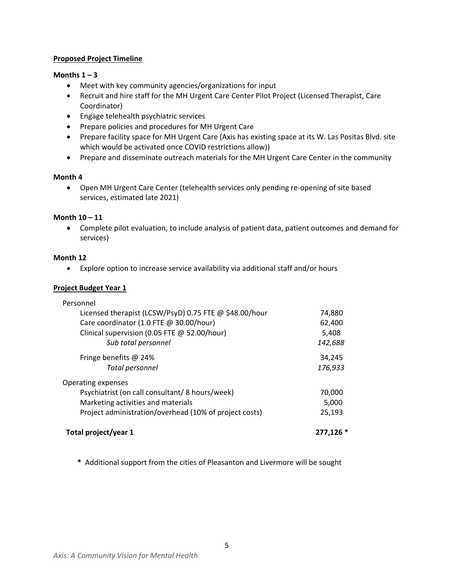#### **Proposed Project Timeline**

#### Months  $1 - 3$

- Meet with key community agencies/organizations for input
- Recruit and hire staff for the MH Urgent Care Center Pilot Project (Licensed Therapist, Care Coordinator)
- Engage telehealth psychiatric services
- Prepare policies and procedures for MH Urgent Care
- Prepare facility space for MH Urgent Care (Axis has existing space at its W. Las Positas Blvd. site which would be activated once COVID restrictions allow))
- Prepare and disseminate outreach materials for the MH Urgent Care Center in the community

# **Month 4**

• Open MH Urgent Care Center (telehealth services only pending re-opening of site based services, estimated late 2021)

# **Month 10 – 11**

• Complete pilot evaluation, to include analysis of patient data, patient outcomes and demand for services)

#### **Month 12**

• Explore option to increase service availability via additional staff and/or hours

# **Project Budget Year 1**

| Total project/year 1                                   | 277,126 * |
|--------------------------------------------------------|-----------|
| Project administration/overhead (10% of project costs) | 25,193    |
| Marketing activities and materials                     | 5,000     |
| Psychiatrist (on call consultant/8 hours/week)         | 70,000    |
| Operating expenses                                     |           |
| Total personnel                                        | 176,933   |
| Fringe benefits $@$ 24%                                | 34,245    |
| Sub total personnel                                    | 142,688   |
| Clinical supervision (0.05 FTE @ 52.00/hour)           | 5,408     |
| Care coordinator (1.0 FTE @ 30.00/hour)                | 62,400    |
| Licensed therapist (LCSW/PsyD) 0.75 FTE @ \$48.00/hour | 74,880    |
| Personnel                                              |           |

 **\*** Additional support from the cities of Pleasanton and Livermore will be sought